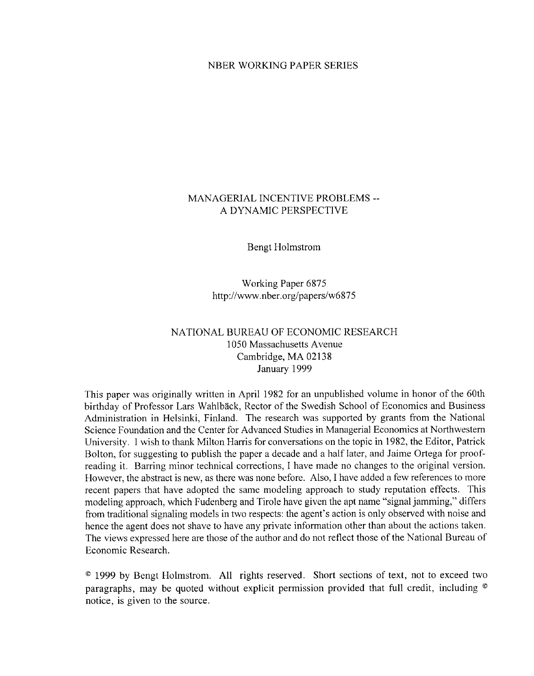#### NBER WORKING PAPER SERIES

# MANAGERIAL INCENTIVE PROBLEMS --A DYNAMIC PERSPECTIVE

**Bengt Holmstrom** 

Working Paper 6875 http://www.nber.org/papers/w6875

# NATIONAL BUREAU OF ECONOMIC RESEARCH 1050 Massachusetts Avenue Cambridge, MA 02138 January 1999

This paper was originally written in April 1982 for an unpublished volume in honor of the 60th birthday of Professor Lars Wahlbäck, Rector of the Swedish School of Economics and Business Administration in Helsinki, Finland. The research was supported by grants from the National Science Foundation and the Center for Advanced Studies in Managerial Economics at Northwestern University. I wish to thank Milton Harris for conversations on the topic in 1982, the Editor, Patrick Bolton, for suggesting to publish the paper a decade and a half later, and Jaime Ortega for proofreading it. Barring minor technical corrections, I have made no changes to the original version. However, the abstract is new, as there was none before. Also, I have added a few references to more recent papers that have adopted the same modeling approach to study reputation effects. This modeling approach, which Fudenberg and Tirole have given the apt name "signal jamming," differs from traditional signaling models in two respects: the agent's action is only observed with noise and hence the agent does not shave to have any private information other than about the actions taken. The views expressed here are those of the author and do not reflect those of the National Bureau of Economic Research.

<sup>©</sup> 1999 by Bengt Holmstrom. All rights reserved. Short sections of text, not to exceed two paragraphs, may be quoted without explicit permission provided that full credit, including  $\circ$ notice, is given to the source.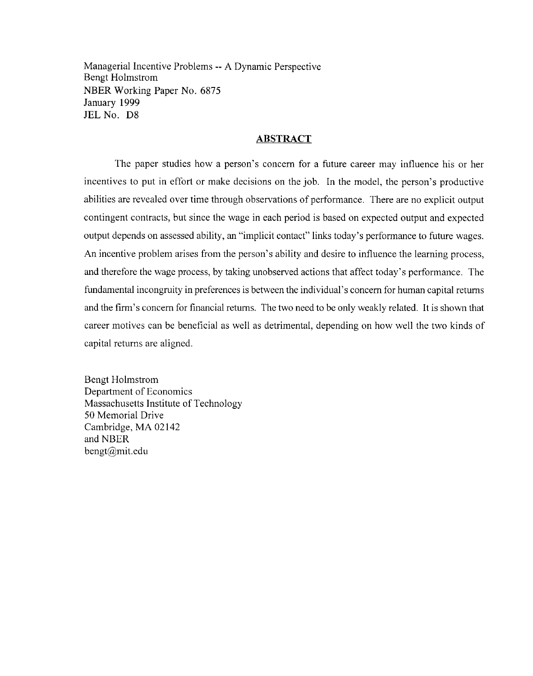Managerial Incentive Problems -- A Dynamic Perspective **Bengt Holmstrom** NBER Working Paper No. 6875 January 1999 JEL No. D8

#### **ABSTRACT**

The paper studies how a person's concern for a future career may influence his or her incentives to put in effort or make decisions on the job. In the model, the person's productive abilities are revealed over time through observations of performance. There are no explicit output contingent contracts, but since the wage in each period is based on expected output and expected output depends on assessed ability, an "implicit contact" links today's performance to future wages. An incentive problem arises from the person's ability and desire to influence the learning process, and therefore the wage process, by taking unobserved actions that affect today's performance. The fundamental incongruity in preferences is between the individual's concern for human capital returns and the firm's concern for financial returns. The two need to be only weakly related. It is shown that career motives can be beneficial as well as detrimental, depending on how well the two kinds of capital returns are aligned.

Bengt Holmstrom Department of Economics Massachusetts Institute of Technology 50 Memorial Drive Cambridge, MA 02142 and NBER bengt@mit.edu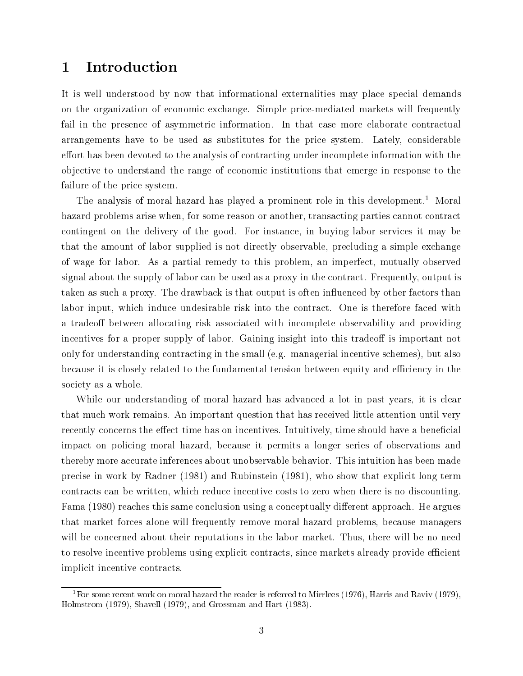# 1 Introduction

It is well understood by now that informational externalities may place special demands on the organization of economic exchange. Simple price-mediated markets will frequently fail in the presence of asymmetric information. In that case more elaborate contractual arrangements have to be used as substitutes for the price system. Lately, considerable effort has been devoted to the analysis of contracting under incomplete information with the ob jective to understand the range of economic institutions that emerge in response to the failure of the price system.

The analysis of moral hazard has played a prominent role in this development.<sup>1</sup> Moral hazard problems arise when, for some reason or another, transacting parties cannot contract contingent on the delivery of the good. For instance, in buying labor services it may be that the amount of labor supplied is not directly observable, precluding a simple exchange of wage for labor. As a partial remedy to this problem, an imperfect, mutually observed signal about the supply of labor can be used as a proxy in the contract. Frequently, output is taken as such a proxy. The drawback is that output is often in
uenced by other factors than labor input, which induce undesirable risk into the contract. One is therefore faced with a tradeoff between allocating risk associated with incomplete observability and providing incentives for a proper supply of labor. Gaining insight into this tradeoff is important not only for understanding contracting in the small (e.g. managerial incentive schemes), but also because it is closely related to the fundamental tension between equity and efficiency in the society as a whole.

While our understanding of moral hazard has advanced a lot in past years, it is clear that much work remains. An important question that has received little attention until very recently concerns the effect time has on incentives. Intuitively, time should have a beneficial impact on policing moral hazard, because it permits a longer series of observations and thereby more accurate inferences about unobservable behavior. This intuition has been made precise in work by Radner (1981) and Rubinstein (1981), who show that explicit long-term contracts can be written, which reduce incentive costs to zero when there is no discounting. Fama (1980) reaches this same conclusion using a conceptually different approach. He argues that market forces alone will frequently remove moral hazard problems, because managers will be concerned about their reputations in the labor market. Thus, there will be no need to resolve incentive problems using explicit contracts, since markets already provide efficient implicit incentive contracts.

<sup>&</sup>lt;sup>1</sup>For some recent work on moral hazard the reader is referred to Mirrlees (1976), Harris and Raviv (1979), Holmstrom (1979), Shavell (1979), and Grossman and Hart (1983).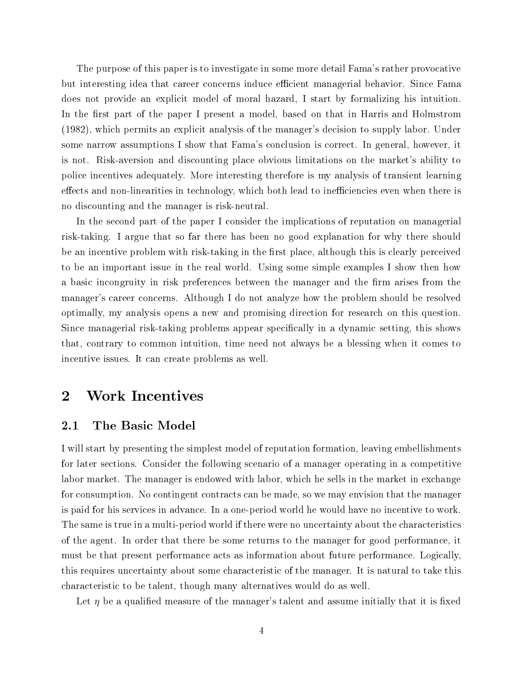The purpose of this paper is to investigate in some more detail Fama's rather provocative but interesting idea that career concerns induce efficient managerial behavior. Since Fama does not provide an explicit model of moral hazard, I start by formalizing his intuition. In the first part of the paper I present a model, based on that in Harris and Holmstrom (1982), which permits an explicit analysis of the manager's decision to supply labor. Under some narrow assumptions I show that Fama's conclusion is correct. In general, however, it is not. Risk-aversion and discounting place obvious limitations on the market's ability to police incentives adequately. More interesting therefore is my analysis of transient learning effects and non-linearities in technology, which both lead to inefficiencies even when there is no discounting and the manager is risk-neutral.

In the second part of the paper I consider the implications of reputation on managerial risk-taking. I argue that so far there has been no good explanation for why there should be an incentive problem with risk-taking in the first place, although this is clearly perceived to be an important issue in the real world. Using some simple examples I show then how a basic incongruity in risk preferences between the manager and the firm arises from the manager's career concerns. Although I do not analyze how the problem should be resolved optimally, my analysis opens a new and promising direction for research on this question. Since managerial risk-taking problems appear specifically in a dynamic setting, this shows that, contrary to common intuition, time need not always be a blessing when it comes to incentive issues. It can create problems as well.

# 2 Work Incentives

## 2.1 The Basic Model

I will start by presenting the simplest model of reputation formation, leaving embellishments for later sections. Consider the following scenario of a manager operating in a competitive labor market. The manager is endowed with labor, which he sells in the market in exchange for consumption. No contingent contracts can be made, so we may envision that the manager is paid for his services in advance. In a one-period world he would have no incentive to work. The same is true in a multi-period world if there were no uncertainty about the characteristics of the agent. In order that there be some returns to the manager for good performance, it must be that present performance acts as information about future performance. Logically, this requires uncertainty about some characteristic of the manager. It is natural to take this characteristic to be talent, though many alternatives would do as well.

Let  $\eta$  be a qualified measure of the manager's talent and assume initially that it is fixed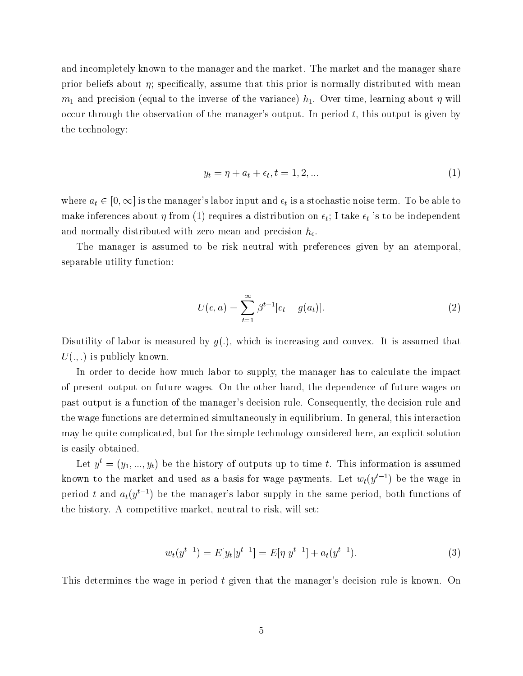and incompletely known to the manager and the market. The market and the manager share prior beliefs about  $\eta$ ; specifically, assume that this prior is normally distributed with mean  $m_1$  and precision (equal to the inverse of the variance)  $h_1$ . Over time, learning about  $\eta$  will occur through the observation of the manager's output. In period t, this output is given by the technology:

$$
y_t = \eta + a_t + \epsilon_t, t = 1, 2, \dots \tag{1}
$$

where  $a_t \in [0, \infty]$  is the manager's labor input and  $\epsilon_t$  is a stochastic noise term. To be able to make inferences about  $\eta$  from (1) requires a distribution on  $\epsilon_t$ ; I take  $\epsilon_t$  's to be independent and normally distributed with zero mean and precision  $h_{\epsilon}$ .

The manager is assumed to be risk neutral with preferences given by an atemporal, separable utility function:

$$
U(c,a) = \sum_{t=1}^{\infty} \beta^{t-1} [c_t - g(a_t)].
$$
\n(2)

Disutility of labor is measured by  $q(.)$ , which is increasing and convex. It is assumed that  $U(.,.)$  is publicly known.

In order to decide how much labor to supply, the manager has to calculate the impact of present output on future wages. On the other hand, the dependence of future wages on past output is a function of the manager's decision rule. Consequently, the decision rule and the wage functions are determined simultaneously in equilibrium. In general, this interaction may be quite complicated, but for the simple technology considered here, an explicit solution is easily obtained.

Let  $y^t = (y_1, ..., y_t)$  be the history of outputs up to time t. This information is assumed known to the market and used as a basis for wage payments. Let  $w_t(y^{t-1})$  be the wage in period t and  $a_t(y^{t-1})$  be the manager's labor supply in the same period, both functions of the history. A competitive market, neutral to risk, will set:

$$
w_t(y^{t-1}) = E[y_t|y^{t-1}] = E[\eta|y^{t-1}] + a_t(y^{t-1}).
$$
\n(3)

This determines the wage in period t given that the manager's decision rule is known. On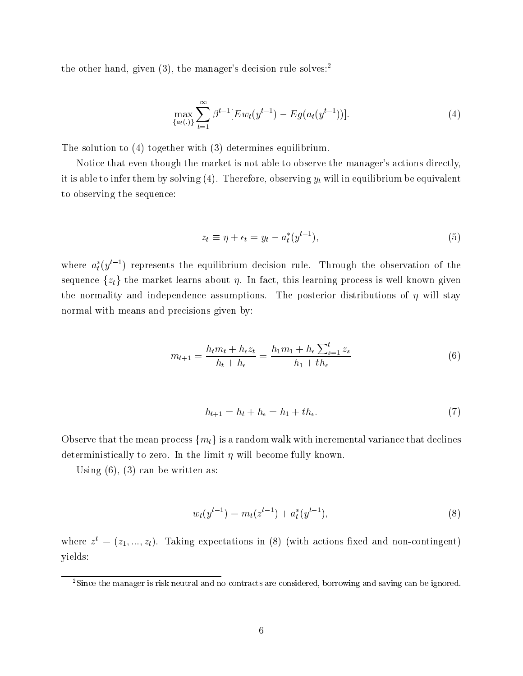the other hand, given  $(3)$ , the manager's decision rule solves:<sup>2</sup>

$$
\max_{\{a_t(.)\}} \sum_{t=1}^{\infty} \beta^{t-1} [E w_t(y^{t-1}) - E g(a_t(y^{t-1}))]. \tag{4}
$$

The solution to (4) together with (3) determines equilibrium.

Notice that even though the market is not able to observe the manager's actions directly, it is able to infer them by solving  $(4)$ . Therefore, observing  $y_t$  will in equilibrium be equivalent to observing the sequence:

$$
z_t \equiv \eta + \epsilon_t = y_t - a_t^*(y^{t-1}), \tag{5}
$$

where  $a_t(y^{\tau-\tau})$  represents the equilibrium decision rule. Through the observation of the sequence  $\{z_t\}$  the market learns about  $\eta$ . In fact, this learning process is well-known given the normality and independence assumptions. The posterior distributions of  $\eta$  will stay normal with means and precisions given by:

$$
m_{t+1} = \frac{h_t m_t + h_{\epsilon} z_t}{h_t + h_{\epsilon}} = \frac{h_1 m_1 + h_{\epsilon} \sum_{s=1}^t z_s}{h_1 + th_{\epsilon}}
$$
(6)

$$
h_{t+1} = h_t + h_\epsilon = h_1 + th_\epsilon. \tag{7}
$$

Observe that the mean process  $\{m_t\}$  is a random walk with incremental variance that declines deterministically to zero. In the limit  $\eta$  will become fully known.

Using  $(6)$ ,  $(3)$  can be written as:

$$
w_t(y^{t-1}) = m_t(z^{t-1}) + a_t^*(y^{t-1}),
$$
\n(8)

where  $z^* = (z_1, ..., z_t)$ . Taking expectations in (8) (with actions fixed and non-contingent) yields:

<sup>&</sup>lt;sup>2</sup>Since the manager is risk neutral and no contracts are considered, borrowing and saving can be ignored.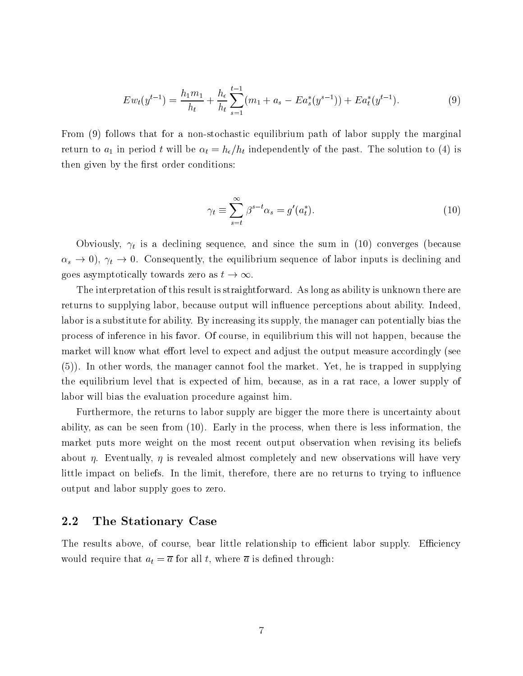$$
E w_t(y^{t-1}) = \frac{h_1 m_1}{h_t} + \frac{h_\epsilon}{h_t} \sum_{s=1}^{t-1} (m_1 + a_s - E a_s^*(y^{s-1})) + E a_t^*(y^{t-1}). \tag{9}
$$

From (9) follows that for a non-stochastic equilibrium path of labor supply the marginal return to  $a_1$  in period t will be  $\alpha_t = h_{\epsilon}/h_t$  independently of the past. The solution to (4) is then given by the first order conditions:

$$
\gamma_t \equiv \sum_{s=t}^{\infty} \beta^{s-t} \alpha_s = g'(a_t^*).
$$
\n(10)

Obviously,  $\gamma_t$  is a declining sequence, and since the sum in (10) converges (because  $\alpha_s \to 0$ ,  $\gamma_t \to 0$ . Consequently, the equilibrium sequence of labor inputs is declining and

 $\frac{1}{2}$ . The interpretation of this result is straightforward. As long as ability is unknown there are returns to supplying labor, because output will in
uence perceptions about ability. Indeed, labor is a substitute for ability. By increasing its supply, the manager can potentially bias the process of inference in his favor. Of course, in equilibrium this will not happen, because the market will know what effort level to expect and adjust the output measure accordingly (see (5)). In other words, the manager cannot fool the market. Yet, he is trapped in supplying the equilibrium level that is expected of him, because, as in a rat race, a lower supply of labor will bias the evaluation procedure against him.

Furthermore, the returns to labor supply are bigger the more there is uncertainty about ability, as can be seen from (10). Early in the process, when there is less information, the market puts more weight on the most recent output observation when revising its beliefs about  $\eta$ . Eventually,  $\eta$  is revealed almost completely and new observations will have very little impact on beliefs. In the limit, therefore, there are no returns to trying to influence output and labor supply goes to zero.

#### 2.2 The Stationary Case

The results above, of course, bear little relationship to efficient labor supply. Efficiency would require that  $a_t = \overline{a}$  for all t, where  $\overline{a}$  is defined through: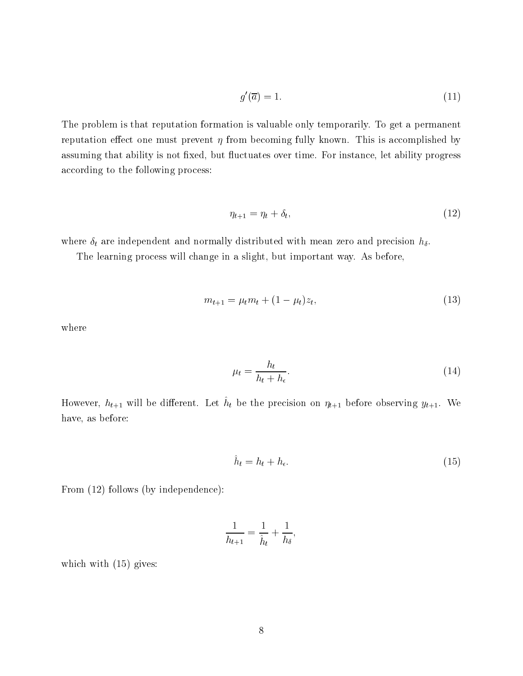$$
g'(\overline{a}) = 1.\tag{11}
$$

The problem is that reputation formation is valuable only temporarily. To get a permanent reputation effect one must prevent  $\eta$  from becoming fully known. This is accomplished by assuming that ability is not fixed, but fluctuates over time. For instance, let ability progress according to the following process:

$$
\eta_{t+1} = \eta_t + \delta_t,\tag{12}
$$

where  $\delta_t$  are independent and normally distributed with mean zero and precision  $h_\delta$ .

The learning process will change in a slight, but important way. As before,

$$
m_{t+1} = \mu_t m_t + (1 - \mu_t) z_t,\tag{13}
$$

where

$$
\mu_t = \frac{h_t}{h_t + h_\epsilon}.\tag{14}
$$

However,  $h_{t+1}$  will be different. Let  $\hat{h}_t$  be the precision on  $\eta_{t+1}$  before observing  $y_{t+1}$ . We have, as before:

$$
\hat{h}_t = h_t + h_\epsilon. \tag{15}
$$

From (12) follows (by independence):

$$
\frac{1}{h_{t+1}} = \frac{1}{\hat{h}_t} + \frac{1}{h_\delta},
$$

which with  $(15)$  gives: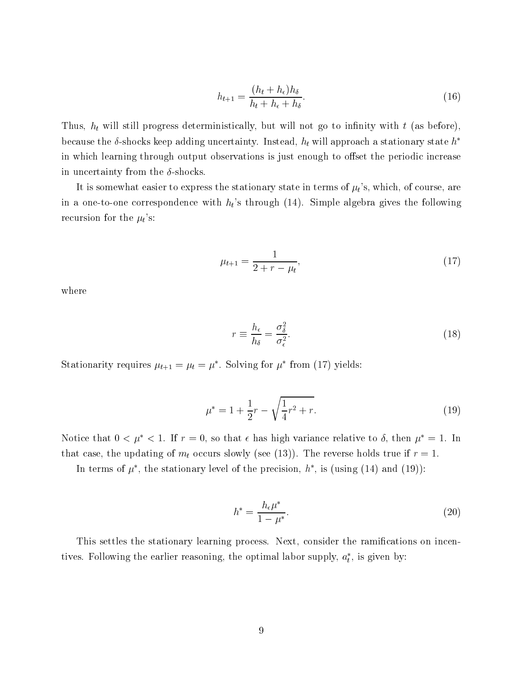$$
h_{t+1} = \frac{(h_t + h_\epsilon)h_\delta}{h_t + h_\epsilon + h_\delta}.\tag{16}
$$

Thus,  $h_t$  will still progress deterministically, but will not go to infinity with  $t$  (as before), because the  $\delta$ -shocks keep adding uncertainty. Instead,  $h_t$  will approach a stationary state  $h^*$ in which learning through output observations is just enough to offset the periodic increase in uncertainty from the  $\delta$ -shocks.

It is somewhat easier to express the stationary state in terms of  $\mu_t$ 's, which, of course, are in a one-to-one correspondence with  $h_t$ 's through (14). Simple algebra gives the following recursion for the  $\mu_t$ 's:

$$
\mu_{t+1} = \frac{1}{2 + r - \mu_t},\tag{17}
$$

where

$$
r \equiv \frac{h_{\epsilon}}{h_{\delta}} = \frac{\sigma_{\delta}^2}{\sigma_{\epsilon}^2}.
$$
\n(18)

Stationarity requires  $\mu_{t+1} = \mu_t = \mu$ . Solving for  $\mu$  from (17) yields:

$$
\mu^* = 1 + \frac{1}{2}r - \sqrt{\frac{1}{4}r^2 + r}.\tag{19}
$$

Notice that  $0 < \mu^* < 1$ . If  $r = 0$ , so that  $\epsilon$  has high variance relative to  $\delta$ , then  $\mu^* = 1$ . In that case, the updating of  $m_t$  occurs slowly (see (13)). The reverse holds true if  $r = 1$ .

In terms of  $\mu$  , the stationary level of the precision,  $\mu$  , is (using (14) and (19)):

$$
h^* = \frac{h_{\epsilon}\mu^*}{1 - \mu^*}.
$$
\n(20)

This settles the stationary learning process. Next, consider the ramifications on incentives. Following the earlier reasoning, the optimal labor supply,  $a_t$ , is given by: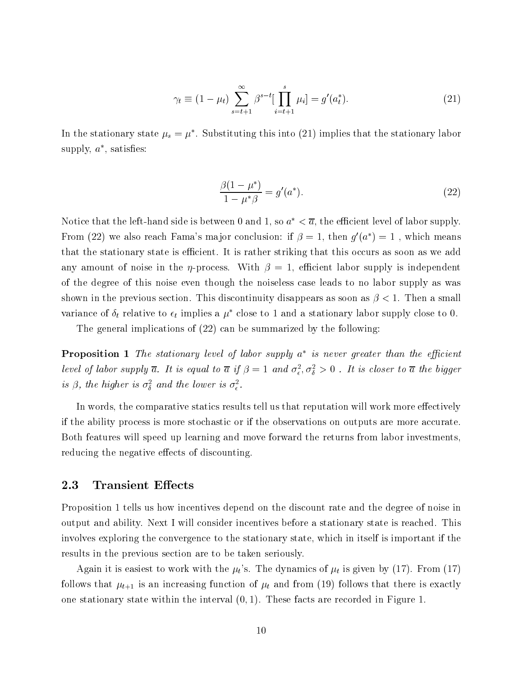$$
\gamma_t \equiv (1 - \mu_t) \sum_{s=t+1}^{\infty} \beta^{s-t} \left[ \prod_{i=t+1}^s \mu_i \right] = g'(a_t^*).
$$
 (21)

In the stationary state  $\mu_s = \mu$  . Substituting this into (21) implies that the stationary labor supply,  $a$  , satisfies:

$$
\frac{\beta(1-\mu^*)}{1-\mu^*\beta} = g'(a^*).
$$
\n(22)

Notice that the left-hand side is between 0 and 1, so  $a^* < \overline{a}$ , the efficient level of labor supply. From (22) we also reach Fama's major conclusion: if  $\beta = 1$ , then  $q'(a^*) = 1$ , which means that the stationary state is efficient. It is rather striking that this occurs as soon as we add any amount of noise in the  $\eta$ -process. With  $\beta = 1$ , efficient labor supply is independent of the degree of this noise even though the noiseless case leads to no labor supply as was shown in the previous section. This discontinuity disappears as soon as  $\beta < 1$ . Then a small variance of  $\delta_t$  relative to  $\epsilon_t$  implies a  $\mu^*$  close to 1 and a stationary labor supply close to 0.

The general implications of (22) can be summarized by the following:

**Proposition 1** The stationary level of labor supply a  $\,$  is never greater than the efficient  $\,$ level of labor supply a. It is equal to a if  $\beta=1$  and  $\sigma_\epsilon^z,\sigma_\delta^z>0$  . It is closer to a the bigger is p, the higher is  $\sigma_{\bar{\delta}}$  and the tower is  $\sigma_{\bar{\epsilon}}$ .

In words, the comparative statics results tell us that reputation will work more effectively if the ability process is more stochastic or if the observations on outputs are more accurate. Both features will speed up learning and move forward the returns from labor investments, reducing the negative effects of discounting.

### 2.3 Transient Effects

Proposition 1 tells us how incentives depend on the discount rate and the degree of noise in output and ability. Next I will consider incentives before a stationary state is reached. This involves exploring the convergence to the stationary state, which in itself is important if the results in the previous section are to be taken seriously.

Again it is easiest to work with the  $\mu_t$ 's. The dynamics of  $\mu_t$  is given by (17). From (17) follows that  $\mu_{t+1}$  is an increasing function of  $\mu_t$  and from (19) follows that there is exactly one stationary state within the interval  $(0, 1)$ . These facts are recorded in Figure 1.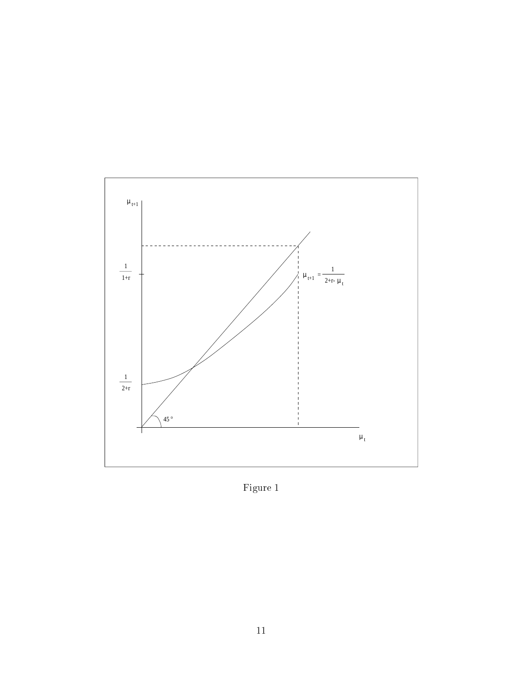

Figure  $1$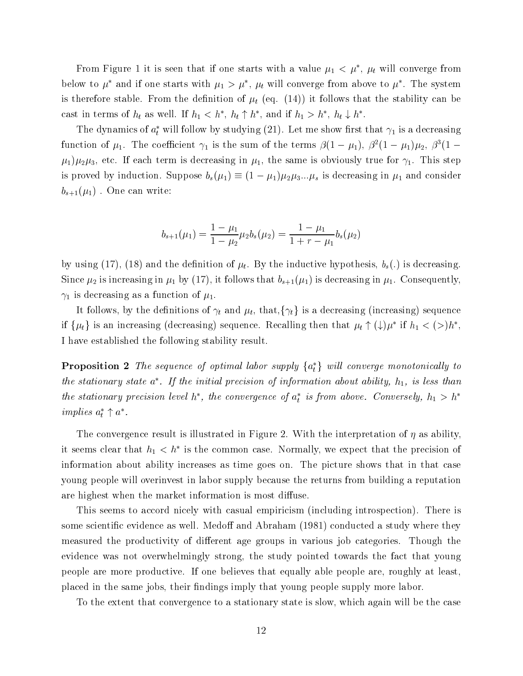From Figure 1 to is seen that if one starts with a value  $\mu_1 < \mu$ ,  $\mu_t$  will converge from below to  $\mu^*$  and if one starts with  $\mu_1 > \mu^*, \mu_t$  will converge from above to  $\mu^*$ . The system is therefore stable. From the definition of  $\mu_t$  (eq. (14)) it follows that the stability can be cast in terms of  $h_t$  as well. If  $h_1 < h^*$ ,  $h_t \uparrow h^*$ , and if  $h_1 > h^*$ ,  $h_t \downarrow h^*$ .

The dynamics of  $a_t$  will follow by studying (21). Let the show first that  $\gamma_1$  is a decreasing function of  $\mu_1$ . The coefficient  $\gamma_1$  is the sum of the terms  $\beta(1-\mu_1), \beta^2(1-\mu_1)\mu_2, \beta^3(1-\mu_1)$  $(\mu_1)\mu_2\mu_3$ , etc. If each term is decreasing in  $\mu_1$ , the same is obviously true for  $\gamma_1$ . This step is proved by induction. Suppose  $b_s(\mu_1) \equiv (1 - \mu_1)\mu_2\mu_3...\mu_s$  is decreasing in  $\mu_1$  and consider  $b_{s+1}(\mu_1)$ . One can write:

$$
b_{s+1}(\mu_1) = \frac{1 - \mu_1}{1 - \mu_2} \mu_2 b_s(\mu_2) = \frac{1 - \mu_1}{1 + r - \mu_1} b_s(\mu_2)
$$

by using (17), (18) and the definition of  $\mu_t$ . By the inductive hypothesis,  $b_s(.)$  is decreasing. Since  $\mu_2$  is increasing in  $\mu_1$  by (17), it follows that  $b_{s+1}(\mu_1)$  is decreasing in  $\mu_1$ . Consequently,  $\gamma_1$  is decreasing as a function of  $\mu_1$ .

It follows, by the definitions of  $\gamma_t$  and  $\mu_t$ , that,  $\{\gamma_t\}$  is a decreasing (increasing) sequence if  $\{ \mu_t \}$  is an increasing (decreasing) sequence. Recalling then that  $\mu_t + (\downarrow) \mu$  if  $n_1 < (\geq) n$  , I have established the following stability result.

**Proposition 2** The sequence of optimal labor supply  $\{a_t\}$  will converge monotonically to the stationary state  $a$  . If the initial precision of information about ability, h<sub>1</sub>, is less than the stationary precision level h , the convergence of  $a_t$  is from above. Conversely,  $n_1 > n$ implies  $a_t + a$ .

The convergence result is illustrated in Figure 2. With the interpretation of  $\eta$  as ability, it seems clear that  $n_1 < n$  is the common case. Normally, we expect that the precision of information about ability increases as time goes on. The picture shows that in that case young people will overinvest in labor supply because the returns from building a reputation are highest when the market information is most diffuse.

This seems to accord nicely with casual empiricism (including introspection). There is some scientific evidence as well. Medoff and Abraham (1981) conducted a study where they measured the productivity of different age groups in various job categories. Though the evidence was not overwhelmingly strong, the study pointed towards the fact that young people are more productive. If one believes that equally able people are, roughly at least, placed in the same jobs, their findings imply that young people supply more labor.

To the extent that convergence to a stationary state is slow, which again will be the case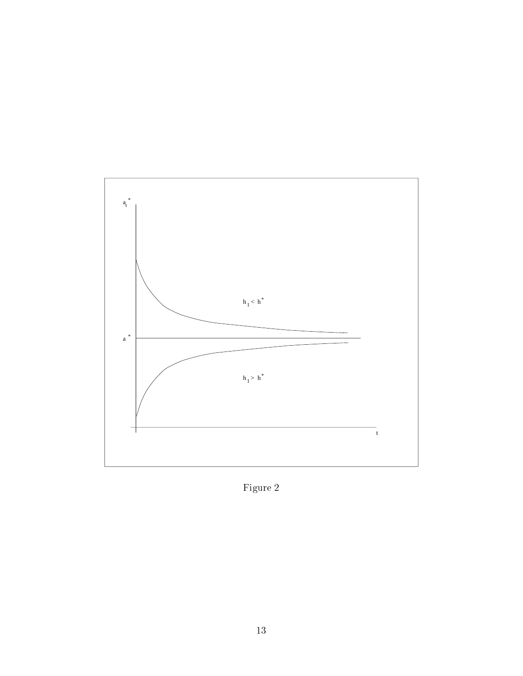

Figure  $2$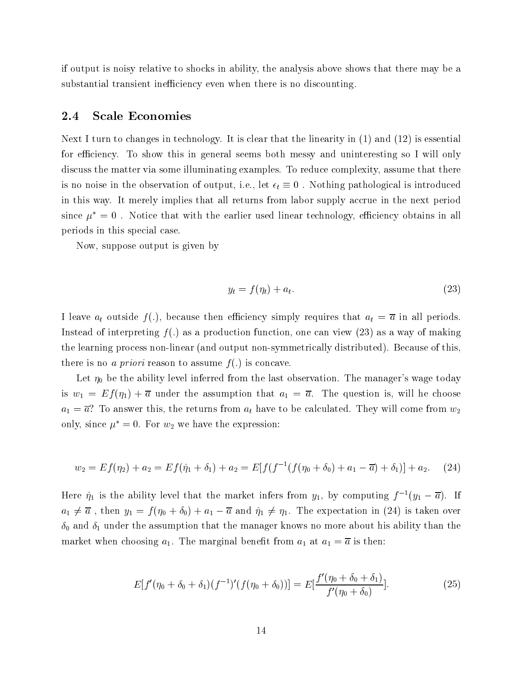if output is noisy relative to shocks in ability, the analysis above shows that there may be a substantial transient inefficiency even when there is no discounting.

#### 2.4 Scale Economies

Next I turn to changes in technology. It is clear that the linearity in (1) and (12) is essential for efficiency. To show this in general seems both messy and uninteresting so I will only discuss the matter via some illuminating examples. To reduce complexity, assume that there is no noise in the observation of output, i.e., let  $\epsilon_t \equiv 0$ . Nothing pathological is introduced in this way. It merely implies that all returns from labor supply accrue in the next period since  $\mu^* = 0$ . Notice that with the earlier used linear technology, efficiency obtains in all periods in this special case.

Now, suppose output is given by

$$
y_t = f(\eta_t) + a_t. \tag{23}
$$

I leave  $a_t$  outside  $f(.)$ , because then efficiency simply requires that  $a_t = \overline{a}$  in all periods. Instead of interpreting  $f(.)$  as a production function, one can view  $(23)$  as a way of making the learning process non-linear (and output non-symmetrically distributed). Because of this, there is no a priori reason to assume  $f(.)$  is concave.

Let  $\eta_0$  be the ability level inferred from the last observation. The manager's wage today is  $w_1 = E f(\eta_1) + \overline{a}$  under the assumption that  $a_1 = \overline{a}$ . The question is, will he choose  $a_1 = \overline{a}$ ? To answer this, the returns from  $a_t$  have to be calculated. They will come from  $w_2$ only, since  $\mu^* = 0$ . For  $w_2$  we have the expression:

$$
w_2 = Ef(\eta_2) + a_2 = Ef(\hat{\eta}_1 + \delta_1) + a_2 = E[f(f^{-1}(f(\eta_0 + \delta_0) + a_1 - \overline{a}) + \delta_1)] + a_2.
$$
 (24)

Here  $\hat{\eta}_1$  is the ability level that the market infers from  $y_1$ , by computing  $f^{-1}(y_1 - \overline{a})$ . If  $a_1 \neq \overline{a}$ , then  $y_1 = f(\eta_0 + \delta_0) + a_1 - \overline{a}$  and  $\hat{\eta}_1 \neq \eta_1$ . The expectation in (24) is taken over  $\delta_0$  and  $\delta_1$  under the assumption that the manager knows no more about his ability than the market when choosing  $a_1$ . The marginal benefit from  $a_1$  at  $a_1 = \overline{a}$  is then:

$$
E[f'(\eta_0 + \delta_0 + \delta_1)(f^{-1})'(f(\eta_0 + \delta_0))] = E[\frac{f'(\eta_0 + \delta_0 + \delta_1)}{f'(\eta_0 + \delta_0)}].
$$
\n(25)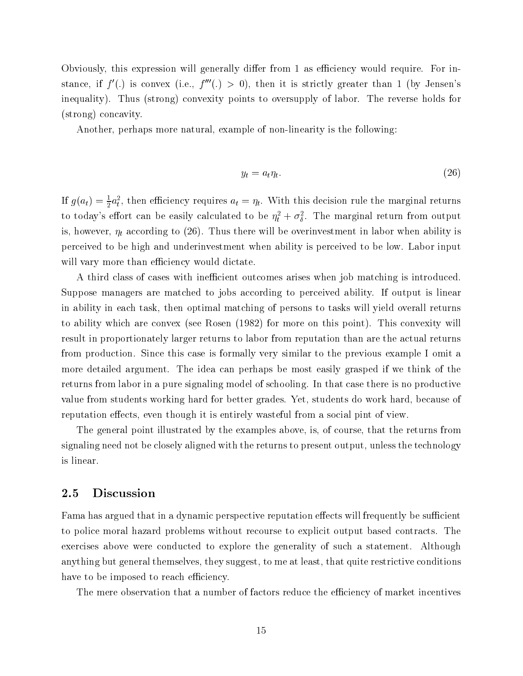Obviously, this expression will generally differ from 1 as efficiency would require. For instance, if  $f'(.)$  is convex (i.e.,  $f'''(.) > 0$ ), then it is strictly greater than 1 (by Jensen's inequality). Thus (strong) convexity points to oversupply of labor. The reverse holds for (strong) concavity.

Another, perhaps more natural, example of non-linearity is the following:

$$
y_t = a_t \eta_t. \tag{26}
$$

If  $g(a_t) = \frac{1}{2} a_t$ , then efficiency requires  $a_t = \eta_t$ . With this decision rule the marginal returns to today's effort can be easily calculated to be  $\eta_t^2 + \sigma_\delta^2$ . The marginal return from output is, however,  $\eta_t$  according to (26). Thus there will be overinvestment in labor when ability is perceived to be high and underinvestment when ability is perceived to be low. Labor input will vary more than efficiency would dictate.

A third class of cases with inefficient outcomes arises when job matching is introduced. Suppose managers are matched to jobs according to perceived ability. If output is linear in ability in each task, then optimal matching of persons to tasks will yield overall returns to ability which are convex (see Rosen (1982) for more on this point). This convexity will result in proportionately larger returns to labor from reputation than are the actual returns from production. Since this case is formally very similar to the previous example I omit a more detailed argument. The idea can perhaps be most easily grasped if we think of the returns from labor in a pure signaling model of schooling. In that case there is no productive value from students working hard for better grades. Yet, students do work hard, because of reputation effects, even though it is entirely wasteful from a social pint of view.

The general point illustrated by the examples above, is, of course, that the returns from signaling need not be closely aligned with the returns to present output, unless the technology is linear.

### 2.5 Discussion

Fama has argued that in a dynamic perspective reputation effects will frequently be sufficient to police moral hazard problems without recourse to explicit output based contracts. The exercises above were conducted to explore the generality of such a statement. Although anything but general themselves, they suggest, to me at least, that quite restrictive conditions have to be imposed to reach efficiency.

The mere observation that a number of factors reduce the efficiency of market incentives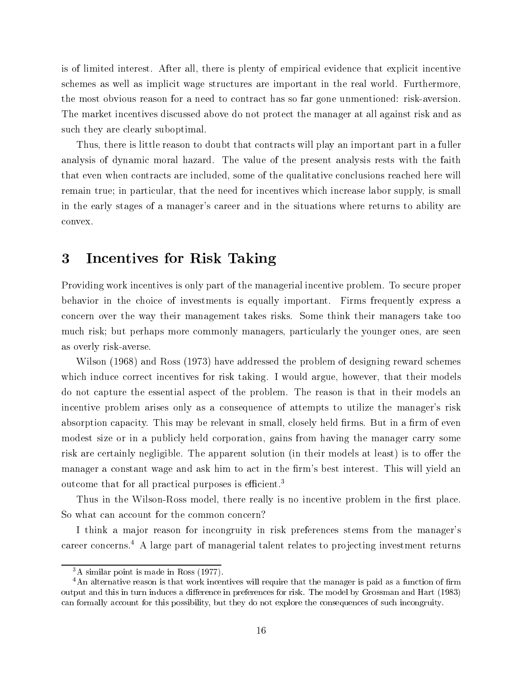is of limited interest. After all, there is plenty of empirical evidence that explicit incentive schemes as well as implicit wage structures are important in the real world. Furthermore, the most obvious reason for a need to contract has so far gone unmentioned: risk-aversion. The market incentives discussed above do not protect the manager at all against risk and as such they are clearly suboptimal.

Thus, there is little reason to doubt that contracts will play an important part in a fuller analysis of dynamic moral hazard. The value of the present analysis rests with the faith that even when contracts are included, some of the qualitative conclusions reached here will remain true; in particular, that the need for incentives which increase labor supply, is small in the early stages of a manager's career and in the situations where returns to ability are convex.

# 3 Incentives for Risk Taking

Providing work incentives is only part of the managerial incentive problem. To secure proper behavior in the choice of investments is equally important. Firms frequently express a concern over the way their management takes risks. Some think their managers take too much risk; but perhaps more commonly managers, particularly the younger ones, are seen as overly risk-averse.

Wilson (1968) and Ross (1973) have addressed the problem of designing reward schemes which induce correct incentives for risk taking. I would argue, however, that their models do not capture the essential aspect of the problem. The reason is that in their models an incentive problem arises only as a consequence of attempts to utilize the manager's risk absorption capacity. This may be relevant in small, closely held firms. But in a firm of even modest size or in a publicly held corporation, gains from having the manager carry some risk are certainly negligible. The apparent solution (in their models at least) is to offer the manager a constant wage and ask him to act in the firm's best interest. This will yield an outcome that for all practical purposes is efficient.<sup>3</sup>

Thus in the Wilson-Ross model, there really is no incentive problem in the first place. So what can account for the common concern?

I think a major reason for incongruity in risk preferences stems from the manager's career concerns.<sup>4</sup> A large part of managerial talent relates to projecting investment returns

<sup>3</sup>A similar point is made in Ross (1977).

 $4$ An alternative reason is that work incentives will require that the manager is paid as a function of firm output and this in turn induces a difference in preferences for risk. The model by Grossman and Hart (1983) can formally account for this possibility, but they do not explore the consequences of such incongruity.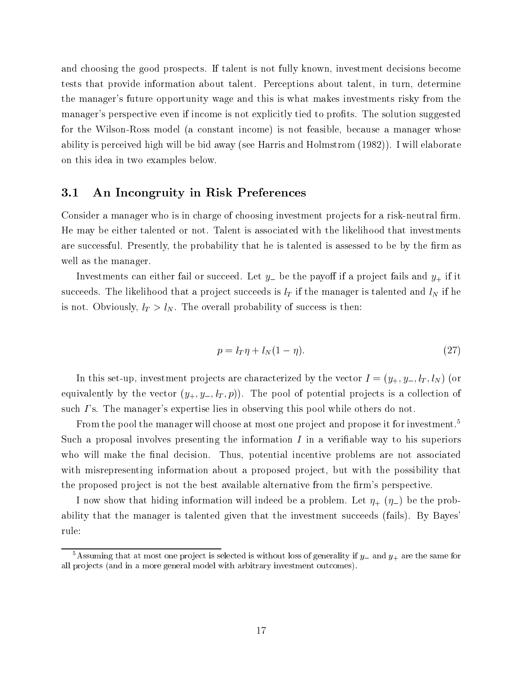and choosing the good prospects. If talent is not fully known, investment decisions become tests that provide information about talent. Perceptions about talent, in turn, determine the manager's future opportunity wage and this is what makes investments risky from the manager's perspective even if income is not explicitly tied to profits. The solution suggested for the Wilson-Ross model (a constant income) is not feasible, because a manager whose ability is perceived high will be bid away (see Harris and Holmstrom (1982)). I will elaborate on this idea in two examples below.

### 3.1 An Incongruity in Risk Preferences

Consider a manager who is in charge of choosing investment projects for a risk-neutral firm. He may be either talented or not. Talent is associated with the likelihood that investments are successful. Presently, the probability that he is talented is assessed to be by the firm as well as the manager.

Investments can either fail or succeed. Let  $y_-$  be the payoff if a project fails and  $y_+$  if it succeeds. The likelihood that a project succeeds is  $l_T$  if the manager is talented and  $l_N$  if he is not. Obviously,  $l_T > l_N$ . The overall probability of success is then:

$$
p = l_T \eta + l_N (1 - \eta). \tag{27}
$$

In this set-up, investment projects are characterized by the vector  $I = (y_+, y_-, l_T, l_N)$  (or equivalently by the vector  $(y_+, y_-, l_T, p)$ . The pool of potential projects is a collection of such I's. The manager's expertise lies in observing this pool while others do not.

From the pool the manager will choose at most one project and propose it for investment.<sup>5</sup> Such a proposal involves presenting the information  $I$  in a verifiable way to his superiors who will make the final decision. Thus, potential incentive problems are not associated with misrepresenting information about a proposed project, but with the possibility that the proposed project is not the best available alternative from the firm's perspective.

I now show that hiding information will indeed be a problem. Let  $\eta_+$  ( $\eta_-$ ) be the probability that the manager is talented given that the investment succeeds (fails). By Bayes rule:

 $\sim$  Assuming that at most one project is selected is without loss of generality if  $y_+$  and  $y_+$  are the same for all projects (and in a more general model with arbitrary investment outcomes).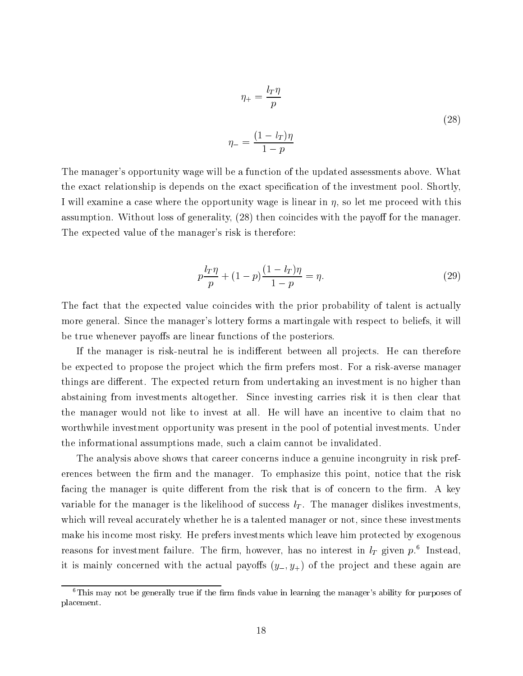$$
\eta_{+} = \frac{l_{T}\eta}{p}
$$

$$
\eta_{-} = \frac{(1 - l_{T})\eta}{1 - p}
$$
(28)

The manager's opportunity wage will be a function of the updated assessments above. What the exact relationship is depends on the exact specification of the investment pool. Shortly, I will examine a case where the opportunity wage is linear in  $\eta$ , so let me proceed with this assumption. Without loss of generality, (28) then coincides with the payoff for the manager. The expected value of the manager's risk is therefore:

$$
p\frac{l_T\eta}{p} + (1-p)\frac{(1-l_T)\eta}{1-p} = \eta.
$$
\n(29)

The fact that the expected value coincides with the prior probability of talent is actually more general. Since the manager's lottery forms a martingale with respect to beliefs, it will be true whenever payoffs are linear functions of the posteriors.

If the manager is risk-neutral he is indifferent between all projects. He can therefore be expected to propose the project which the firm prefers most. For a risk-averse manager things are different. The expected return from undertaking an investment is no higher than abstaining from investments altogether. Since investing carries risk it is then clear that the manager would not like to invest at all. He will have an incentive to claim that no worthwhile investment opportunity was present in the pool of potential investments. Under the informational assumptions made, such a claim cannot be invalidated.

The analysis above shows that career concerns induce a genuine incongruity in risk preferences between the firm and the manager. To emphasize this point, notice that the risk facing the manager is quite different from the risk that is of concern to the firm. A key variable for the manager is the likelihood of success  $l_T$ . The manager dislikes investments, which will reveal accurately whether he is a talented manager or not, since these investments make his income most risky. He prefers investments which leave him protected by exogenous reasons for investment failure. The limit, however, has no interest in  $\iota_T$  given  $p.^\ast$  -filstead, it is mainly concerned with the actual payoffs  $(y_-, y_+)$  of the project and these again are

 $6$ This may not be generally true if the firm finds value in learning the manager's ability for purposes of placement.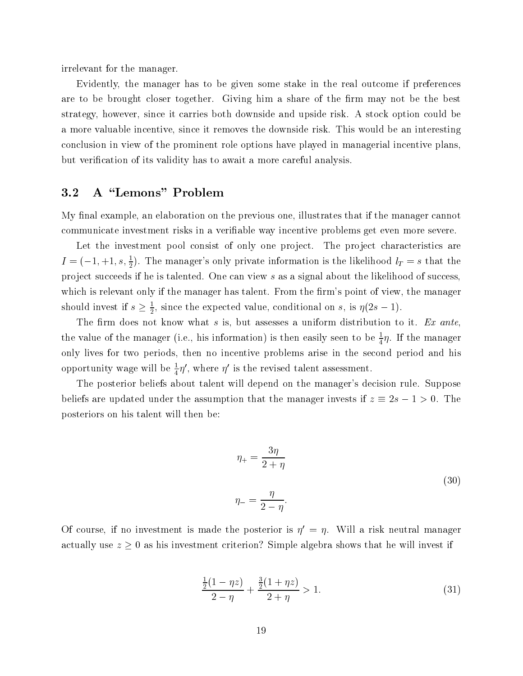irrelevant for the manager.

Evidently, the manager has to be given some stake in the real outcome if preferences are to be brought closer together. Giving him a share of the firm may not be the best strategy, however, since it carries both downside and upside risk. A stock option could be a more valuable incentive, since it removes the downside risk. This would be an interesting conclusion in view of the prominent role options have played in managerial incentive plans, but verication of its validity has to await a more careful analysis.

# 3.2 A "Lemons" Problem

My final example, an elaboration on the previous one, illustrates that if the manager cannot communicate investment risks in a veriable way incentive problems get even more severe.

Let the investment pool consist of only one project. The project characteristics are  $I = (-1, +1, s, \frac{1}{2})$ . The manager's only private information is the likelihood  $l_T = s$  that the project succeeds if he is talented. One can view  $s$  as a signal about the likelihood of success, which is relevant only if the manager has talent. From the firm's point of view, the manager should invest if  $s \geq \frac{1}{2}$ , since the expected value, conditional on s, is  $\eta(z s - 1)$ .

The firm does not know what s is, but assesses a uniform distribution to it. Ex ante, the value of the manager (i.e., his information) is then easily seen to be  $\frac{1}{4} \eta$ . If the manager only lives for two periods, then no incentive problems arise in the second period and his opportunity wage will be  $\frac{1}{4}\eta$ , where  $\eta$  is the revised talent assessment.

The posterior beliefs about talent will depend on the manager's decision rule. Suppose beliefs are updated under the assumption that the manager invests if  $z = 2$ s  $1 + 2$ s of  $2$  if  $\alpha$ posteriors on his talent will then be:

$$
\eta_{+} = \frac{3\eta}{2+\eta}
$$

$$
\eta_{-} = \frac{\eta}{2-\eta}.
$$
\n(30)

Of course, if no investment is made the posterior is  $n = n$ . Will a risk neutral manager  $\alpha$  ,  $\alpha$  ,  $\alpha$  ,  $\alpha$  ,  $\alpha$  as his investment criterion? Simple algebra shows that he will invest if

$$
\frac{\frac{1}{2}(1-\eta z)}{2-\eta} + \frac{\frac{3}{2}(1+\eta z)}{2+\eta} > 1.
$$
\n(31)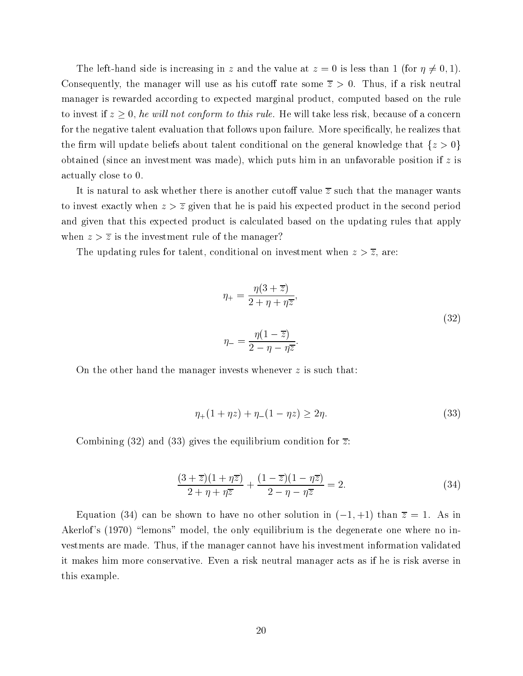The left-hand side is increasing in z and the value at  $z = 0$  is less than 1 (for  $\eta \neq 0, 1$ ). Consequently, the manager will use as his cutoff rate some  $\overline{z} > 0$ . Thus, if a risk neutral manager is rewarded according to expected marginal product, computed based on the rule to invest if  $x \sim 0$ , he will her conform to the random the will take less risk, because of a concern for the negative talent evaluation that follows upon failure. More specifically, he realizes that the firm will update beliefs about talent conditional on the general knowledge that  $\{z > 0\}$ obtained (since an investment was made), which puts him in an unfavorable position if  $z$  is actually close to 0.

It is natural to ask whether there is another cutoff value  $\overline{z}$  such that the manager wants to invest exactly when  $z > \overline{z}$  given that he is paid his expected product in the second period and given that this expected product is calculated based on the updating rules that apply when  $z > \overline{z}$  is the investment rule of the manager?

The updating rules for talent, conditional on investment when  $z > \overline{z}$ , are:

$$
\eta_{+} = \frac{\eta(3+\overline{z})}{2+\eta+\eta\overline{z}},
$$
  

$$
\eta_{-} = \frac{\eta(1-\overline{z})}{2-\eta-\eta\overline{z}}.
$$
 (32)

On the other hand the manager invests whenever  $z$  is such that:

$$
\eta_+(1+\eta z) + \eta_-(1-\eta z) \ge 2\eta. \tag{33}
$$

Combining (32) and (33) gives the equilibrium condition for  $\overline{z}$ :

$$
\frac{(3+\overline{z})(1+\eta\overline{z})}{2+\eta+\eta\overline{z}} + \frac{(1-\overline{z})(1-\eta\overline{z})}{2-\eta-\eta\overline{z}} = 2.
$$
 (34)

Equation (34) can be shown to have no other solution in  $(-1, +1)$  than  $\overline{z} = 1$ . As in Akerlof's (1970) "lemons" model, the only equilibrium is the degenerate one where no investments are made. Thus, if the manager cannot have his investment information validated it makes him more conservative. Even a risk neutral manager acts as if he is risk averse in this example.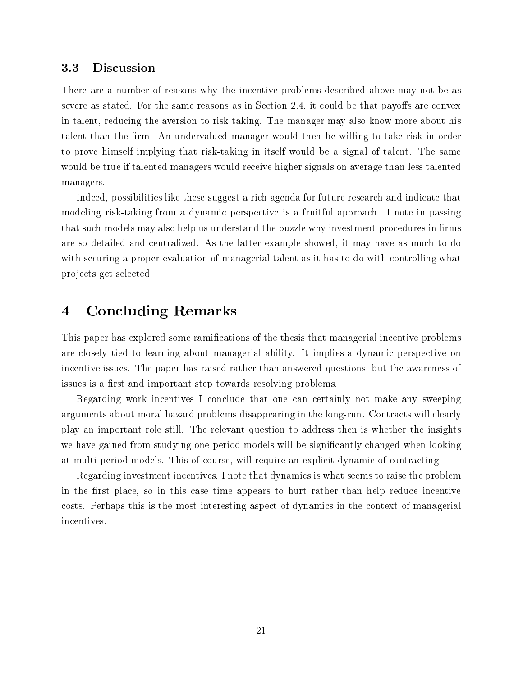### 3.3 Discussion

There are a number of reasons why the incentive problems described above may not be as severe as stated. For the same reasons as in Section 2.4, it could be that payoffs are convex in talent, reducing the aversion to risk-taking. The manager may also know more about his talent than the firm. An undervalued manager would then be willing to take risk in order to prove himself implying that risk-taking in itself would be a signal of talent. The same would be true if talented managers would receive higher signals on average than less talented managers.

Indeed, possibilities like these suggest a rich agenda for future research and indicate that modeling risk-taking from a dynamic perspective is a fruitful approach. I note in passing that such models may also help us understand the puzzle why investment procedures in firms are so detailed and centralized. As the latter example showed, it may have as much to do with securing a proper evaluation of managerial talent as it has to do with controlling what pro jects get selected.

# 4 Concluding Remarks

This paper has explored some ramications of the thesis that managerial incentive problems are closely tied to learning about managerial ability. It implies a dynamic perspective on incentive issues. The paper has raised rather than answered questions, but the awareness of issues is a first and important step towards resolving problems.

Regarding work incentives I conclude that one can certainly not make any sweeping arguments about moral hazard problems disappearing in the long-run. Contracts will clearly play an important role still. The relevant question to address then is whether the insights we have gained from studying one-period models will be signicantly changed when looking at multi-period models. This of course, will require an explicit dynamic of contracting.

Regarding investment incentives, I note that dynamics is what seems to raise the problem in the first place, so in this case time appears to hurt rather than help reduce incentive costs. Perhaps this is the most interesting aspect of dynamics in the context of managerial incentives.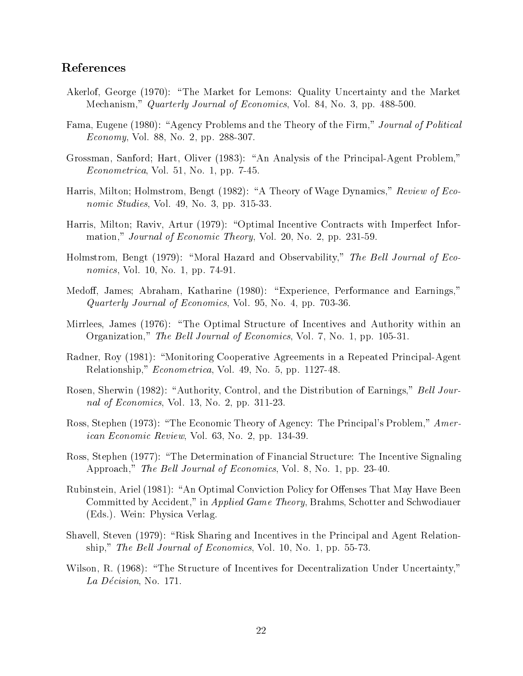# References

- Akerlof, George (1970): "The Market for Lemons: Quality Uncertainty and the Market Mechanism," Quarterly Journal of Economics, Vol. 84, No. 3, pp. 488-500.
- Fama, Eugene (1980): "Agency Problems and the Theory of the Firm," Journal of Political Economy, Vol. 88, No. 2, pp. 288-307.
- Grossman, Sanford; Hart, Oliver (1983): "An Analysis of the Principal-Agent Problem," Econometrica, Vol. 51, No. 1, pp. 7-45.
- Harris, Milton; Holmstrom, Bengt (1982): "A Theory of Wage Dynamics," Review of Economic Studies, Vol. 49, No. 3, pp. 315-33.
- Harris, Milton; Raviv, Artur (1979): "Optimal Incentive Contracts with Imperfect Information," Journal of Economic Theory, Vol. 20, No. 2, pp. 231-59.
- Holmstrom, Bengt (1979): "Moral Hazard and Observability," The Bell Journal of Economics, Vol. 10, No. 1, pp. 74-91.
- Medoff, James; Abraham, Katharine (1980): "Experience, Performance and Earnings," Quarterly Journal of Economics, Vol. 95, No. 4, pp. 703-36.
- Mirrlees, James (1976): "The Optimal Structure of Incentives and Authority within an Organization," The Bell Journal of Economics, Vol. 7, No. 1, pp. 105-31.
- Radner, Roy (1981): "Monitoring Cooperative Agreements in a Repeated Principal-Agent Relationship," *Econometrica*, Vol. 49, No. 5, pp. 1127-48.
- Rosen, Sherwin (1982): "Authority, Control, and the Distribution of Earnings," Bell Journal of Economics, Vol. 13, No. 2, pp. 311-23.
- Ross, Stephen (1973): "The Economic Theory of Agency: The Principal's Problem," American Economic Review, Vol. 63, No. 2, pp. 134-39.
- Ross, Stephen (1977): "The Determination of Financial Structure: The Incentive Signaling Approach," The Bell Journal of Economics, Vol. 8, No. 1, pp. 23-40.
- Rubinstein, Ariel (1981): "An Optimal Conviction Policy for Offenses That May Have Been Committed by Accident," in Applied Game Theory, Brahms, Schotter and Schwodiauer (Eds.). Wein: Physica Verlag.
- Shavell, Steven (1979): "Risk Sharing and Incentives in the Principal and Agent Relationship," The Bell Journal of Economics, Vol. 10, No. 1, pp. 55-73.
- Wilson, R. (1968): "The Structure of Incentives for Decentralization Under Uncertainty," La Décision, No. 171.